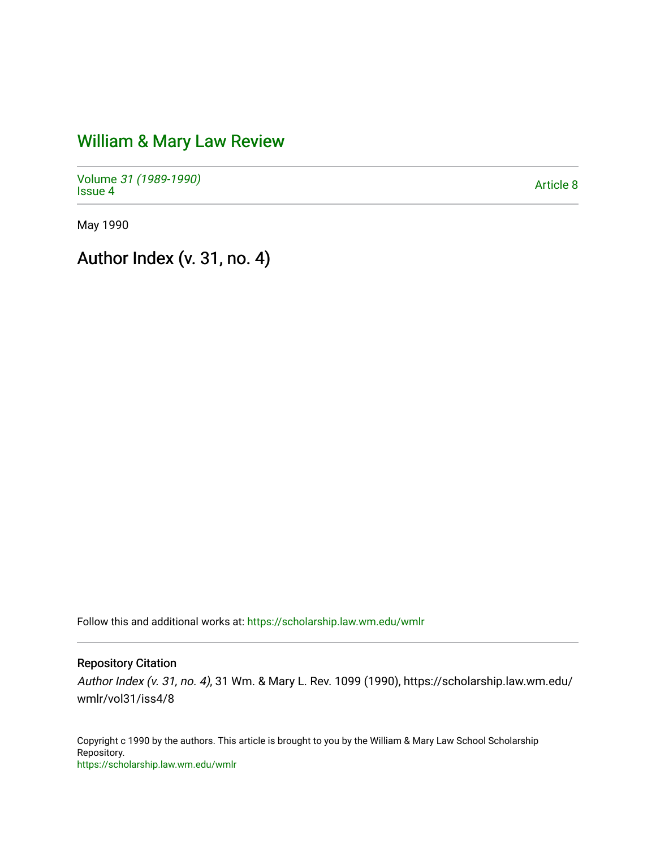# [William & Mary Law Review](https://scholarship.law.wm.edu/wmlr)

Volume [31 \(1989-1990\)](https://scholarship.law.wm.edu/wmlr/vol31)  volume 57 (1909-1990)<br>[Issue 4](https://scholarship.law.wm.edu/wmlr/vol31/iss4)

May 1990

Author Index (v. 31, no. 4)

Follow this and additional works at: [https://scholarship.law.wm.edu/wmlr](https://scholarship.law.wm.edu/wmlr?utm_source=scholarship.law.wm.edu%2Fwmlr%2Fvol31%2Fiss4%2F8&utm_medium=PDF&utm_campaign=PDFCoverPages)

# Repository Citation

Author Index (v. 31, no. 4), 31 Wm. & Mary L. Rev. 1099 (1990), https://scholarship.law.wm.edu/ wmlr/vol31/iss4/8

Copyright c 1990 by the authors. This article is brought to you by the William & Mary Law School Scholarship Repository. <https://scholarship.law.wm.edu/wmlr>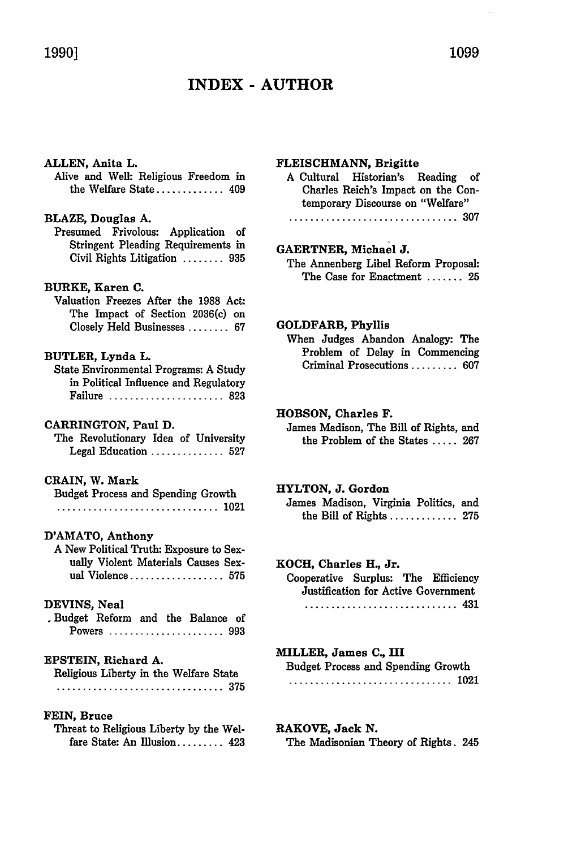# **INDEX - AUTHOR**

# **ALLEN,** Anita L.

Alive and Well: Religious Freedom in the Welfare State ............. 409

## BLAZE, Douglas **A.**

Presumed Frivolous: Application of Stringent Pleading Requirements in Civil Rights Litigation ........ **<sup>935</sup>**

# BURKE, Karen **C.**

Valuation Freezes After the **1988** Act: The Impact of Section 2036(c) on Closely Held Businesses ........ **<sup>67</sup>**

#### BUTLER, Lynda L.

State Environmental Programs: **A** Study in Political Influence and Regulatory Failure ...................... **<sup>823</sup>**

#### CARRINGTON, Paul **D.**

The Revolutionary Idea of University Legal Education .............. **<sup>527</sup>**

## **CRAIN,** W. Mark

Budget Process and Spending Growth ............................... 1021

#### D'AMATO, Anthony

A New Political Truth: Exposure to Sexually Violent Materials Causes Sexual Violence .................. **<sup>575</sup>**

#### DEVINS, Neal

,Budget Reform and the Balance of Powers ...................... **<sup>993</sup>**

#### EPSTEIN, Richard A.

Religious Liberty in the Welfare State ................................ **375**

#### **FEIN,** Bruce

Threat to Religious Liberty by the Welfare State: An Illusion......... 423

#### FLEISCHMANN, Brigitte

- A Cultural Historian's Reading of Charles Reich's Impact on the Contemporary Discourse on "Welfare"
	- **................................ 307**

# GAERTNER, Michael **J.**

The Annenberg Libel Reform Proposal: The Case for Enactment ....... **<sup>25</sup>**

#### GOLDFARB, Phyllis

When Judges Abandon Analogy: The Problem of Delay in Commencing Criminal Prosecutions ......... **<sup>607</sup>**

# **HOBSON,** Charles F.

James Madison, The Bill of Rights, and the Problem of the States **..... 267**

#### HYLTON, **J.** Gordon

James Madison, Virginia Politics, and the Bill of Rights ............. **275**

#### **KOCH,** Charles H., Jr.

Cooperative Surplus: The Efficiency Justification for Active Government **.............................** 431

# MILLER, James **C.,** III

Budget Process and Spending Growth **...............................** 1021

# **RAKOVE, Jack N.**

The Madisonian Theory of Rights. 245